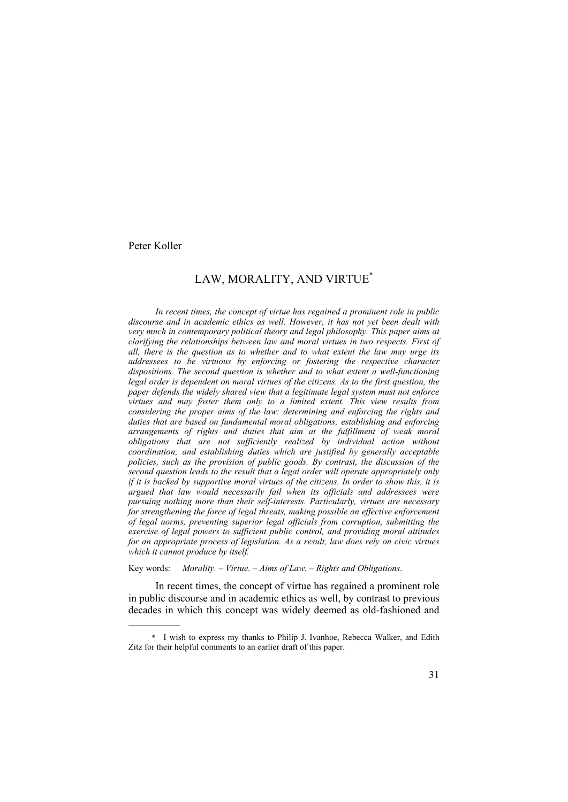#### Peter Koller

# LAW, MORALITY, AND VIRTUE\*

*In recent times, the concept of virtue has regained a prominent role in public discourse and in academic ethics as well. However, it has not yet been dealt with very much in contemporary political theory and legal philosophy. This paper aims at clarifying the relationships between law and moral virtues in two respects. First of all, there is the question as to whether and to what extent the law may urge its addressees to be virtuous by enforcing or fostering the respective character dispositions. The second question is whether and to what extent a well-functioning legal order is dependent on moral virtues of the citizens. As to the first question, the paper defends the widely shared view that a legitimate legal system must not enforce virtues and may foster them only to a limited extent. This view results from considering the proper aims of the law: determining and enforcing the rights and duties that are based on fundamental moral obligations; establishing and enforcing arrangements of rights and duties that aim at the fulfillment of weak moral obligations that are not sufficiently realized by individual action without coordination; and establishing duties which are justified by generally acceptable policies, such as the provision of public goods. By contrast, the discussion of the second question leads to the result that a legal order will operate appropriately only if it is backed by supportive moral virtues of the citizens. In order to show this, it is argued that law would necessarily fail when its officials and addressees were pursuing nothing more than their self-interests. Particularly, virtues are necessary for strengthening the force of legal threats, making possible an effective enforcement of legal norms, preventing superior legal officials from corruption, submitting the exercise of legal powers to sufficient public control, and providing moral attitudes for an appropriate process of legislation. As a result, law does rely on civic virtues which it cannot produce by itself.* 

Key words: *Morality. – Virtue. – Aims of Law. – Rights and Obligations*.

In recent times, the concept of virtue has regained a prominent role in public discourse and in academic ethics as well, by contrast to previous decades in which this concept was widely deemed as old-fashioned and

<sup>\*</sup> I wish to express my thanks to Philip J. Ivanhoe, Rebecca Walker, and Edith Zitz for their helpful comments to an earlier draft of this paper.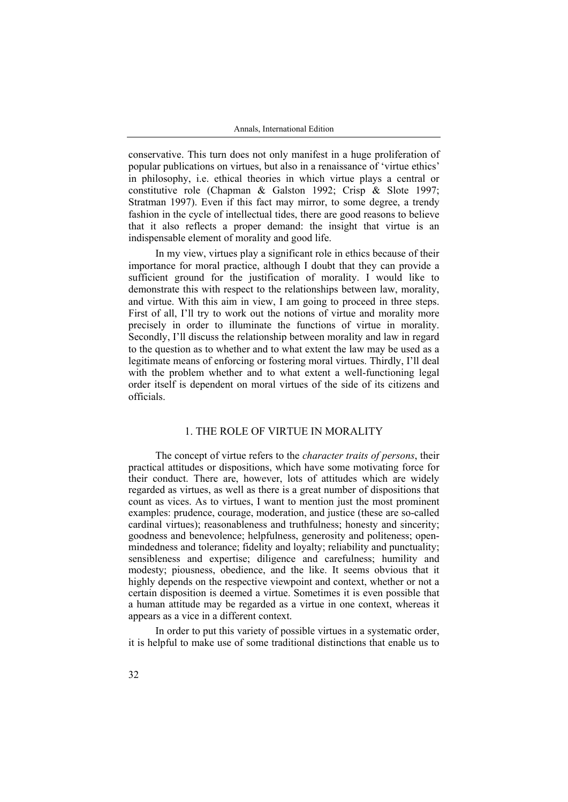conservative. This turn does not only manifest in a huge proliferation of popular publications on virtues, but also in a renaissance of 'virtue ethics' in philosophy, i.e. ethical theories in which virtue plays a central or constitutive role (Chapman & Galston 1992; Crisp & Slote 1997; Stratman 1997). Even if this fact may mirror, to some degree, a trendy fashion in the cycle of intellectual tides, there are good reasons to believe that it also reflects a proper demand: the insight that virtue is an indispensable element of morality and good life.

In my view, virtues play a significant role in ethics because of their importance for moral practice, although I doubt that they can provide a sufficient ground for the justification of morality. I would like to demonstrate this with respect to the relationships between law, morality, and virtue. With this aim in view, I am going to proceed in three steps. First of all, I'll try to work out the notions of virtue and morality more precisely in order to illuminate the functions of virtue in morality. Secondly, I'll discuss the relationship between morality and law in regard to the question as to whether and to what extent the law may be used as a legitimate means of enforcing or fostering moral virtues. Thirdly, I'll deal with the problem whether and to what extent a well-functioning legal order itself is dependent on moral virtues of the side of its citizens and officials.

### 1. THE ROLE OF VIRTUE IN MORALITY

The concept of virtue refers to the *character traits of persons*, their practical attitudes or dispositions, which have some motivating force for their conduct. There are, however, lots of attitudes which are widely regarded as virtues, as well as there is a great number of dispositions that count as vices. As to virtues, I want to mention just the most prominent examples: prudence, courage, moderation, and justice (these are so-called cardinal virtues); reasonableness and truthfulness; honesty and sincerity; goodness and benevolence; helpfulness, generosity and politeness; openmindedness and tolerance; fidelity and loyalty; reliability and punctuality; sensibleness and expertise; diligence and carefulness; humility and modesty; piousness, obedience, and the like. It seems obvious that it highly depends on the respective viewpoint and context, whether or not a certain disposition is deemed a virtue. Sometimes it is even possible that a human attitude may be regarded as a virtue in one context, whereas it appears as a vice in a different context.

In order to put this variety of possible virtues in a systematic order, it is helpful to make use of some traditional distinctions that enable us to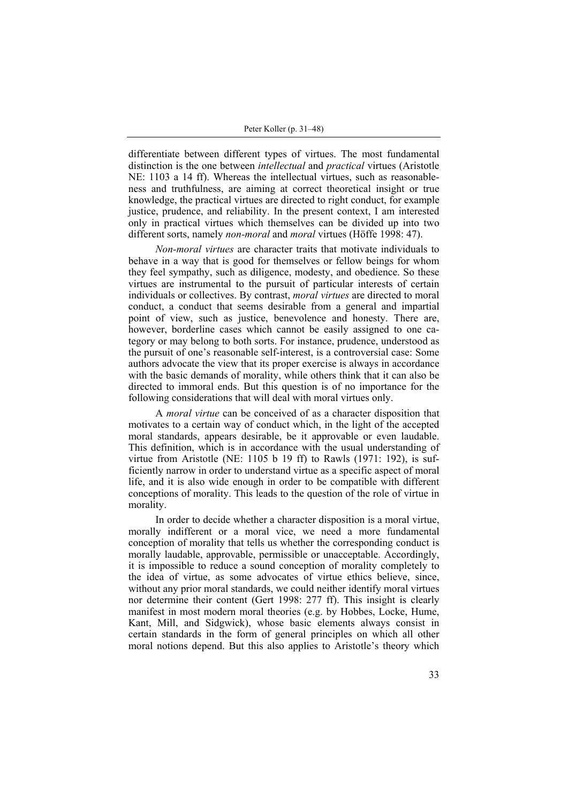differentiate between different types of virtues. The most fundamental distinction is the one between *intellectual* and *practical* virtues (Aristotle NE: 1103 a 14 ff). Whereas the intellectual virtues, such as reasonableness and truthfulness, are aiming at correct theoretical insight or true knowledge, the practical virtues are directed to right conduct, for example justice, prudence, and reliability. In the present context, I am interested only in practical virtues which themselves can be divided up into two different sorts, namely *non-moral* and *moral* virtues (Höffe 1998: 47).

*Non-moral virtues* are character traits that motivate individuals to behave in a way that is good for themselves or fellow beings for whom they feel sympathy, such as diligence, modesty, and obedience. So these virtues are instrumental to the pursuit of particular interests of certain individuals or collectives. By contrast, *moral virtues* are directed to moral conduct, a conduct that seems desirable from a general and impartial point of view, such as justice, benevolence and honesty. There are, however, borderline cases which cannot be easily assigned to one category or may belong to both sorts. For instance, prudence, understood as the pursuit of one's reasonable self-interest, is a controversial case: Some authors advocate the view that its proper exercise is always in accordance with the basic demands of morality, while others think that it can also be directed to immoral ends. But this question is of no importance for the following considerations that will deal with moral virtues only.

A *moral virtue* can be conceived of as a character disposition that motivates to a certain way of conduct which, in the light of the accepted moral standards, appears desirable, be it approvable or even laudable. This definition, which is in accordance with the usual understanding of virtue from Aristotle (NE: 1105 b 19 ff) to Rawls (1971: 192), is sufficiently narrow in order to understand virtue as a specific aspect of moral life, and it is also wide enough in order to be compatible with different conceptions of morality. This leads to the question of the role of virtue in morality.

In order to decide whether a character disposition is a moral virtue, morally indifferent or a moral vice, we need a more fundamental conception of morality that tells us whether the corresponding conduct is morally laudable, approvable, permissible or unacceptable. Accordingly, it is impossible to reduce a sound conception of morality completely to the idea of virtue, as some advocates of virtue ethics believe, since, without any prior moral standards, we could neither identify moral virtues nor determine their content (Gert 1998: 277 ff). This insight is clearly manifest in most modern moral theories (e.g. by Hobbes, Locke, Hume, Kant, Mill, and Sidgwick), whose basic elements always consist in certain standards in the form of general principles on which all other moral notions depend. But this also applies to Aristotle's theory which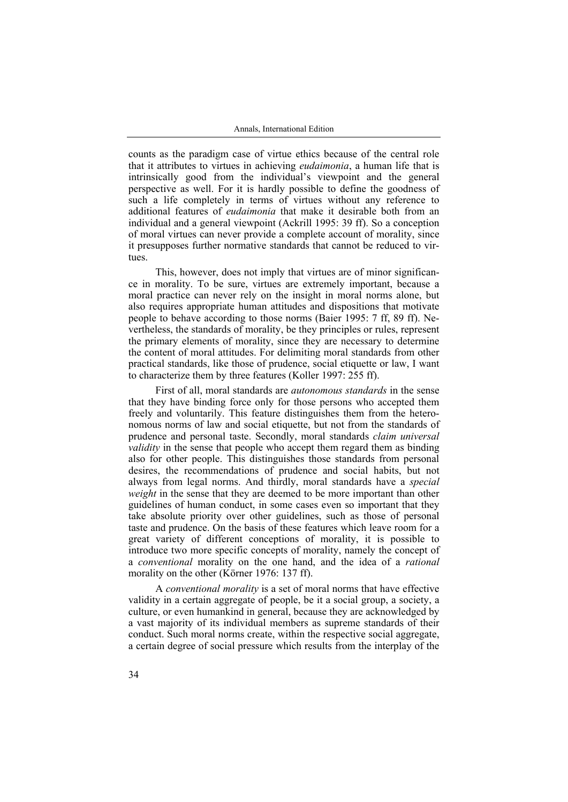counts as the paradigm case of virtue ethics because of the central role that it attributes to virtues in achieving *eudaimonia*, a human life that is intrinsically good from the individual's viewpoint and the general perspective as well. For it is hardly possible to define the goodness of such a life completely in terms of virtues without any reference to additional features of *eudaimonia* that make it desirable both from an individual and a general viewpoint (Ackrill 1995: 39 ff). So a conception of moral virtues can never provide a complete account of morality, since it presupposes further normative standards that cannot be reduced to virtues.

This, however, does not imply that virtues are of minor significance in morality. To be sure, virtues are extremely important, because a moral practice can never rely on the insight in moral norms alone, but also requires appropriate human attitudes and dispositions that motivate people to behave according to those norms (Baier 1995: 7 ff, 89 ff). Nevertheless, the standards of morality, be they principles or rules, represent the primary elements of morality, since they are necessary to determine the content of moral attitudes. For delimiting moral standards from other practical standards, like those of prudence, social etiquette or law, I want to characterize them by three features (Koller 1997: 255 ff).

First of all, moral standards are *autonomous standards* in the sense that they have binding force only for those persons who accepted them freely and voluntarily. This feature distinguishes them from the heteronomous norms of law and social etiquette, but not from the standards of prudence and personal taste. Secondly, moral standards *claim universal validity* in the sense that people who accept them regard them as binding also for other people. This distinguishes those standards from personal desires, the recommendations of prudence and social habits, but not always from legal norms. And thirdly, moral standards have a *special weight* in the sense that they are deemed to be more important than other guidelines of human conduct, in some cases even so important that they take absolute priority over other guidelines, such as those of personal taste and prudence. On the basis of these features which leave room for a great variety of different conceptions of morality, it is possible to introduce two more specific concepts of morality, namely the concept of a *conventional* morality on the one hand, and the idea of a *rational* morality on the other (Körner 1976: 137 ff).

A *conventional morality* is a set of moral norms that have effective validity in a certain aggregate of people, be it a social group, a society, a culture, or even humankind in general, because they are acknowledged by a vast majority of its individual members as supreme standards of their conduct. Such moral norms create, within the respective social aggregate, a certain degree of social pressure which results from the interplay of the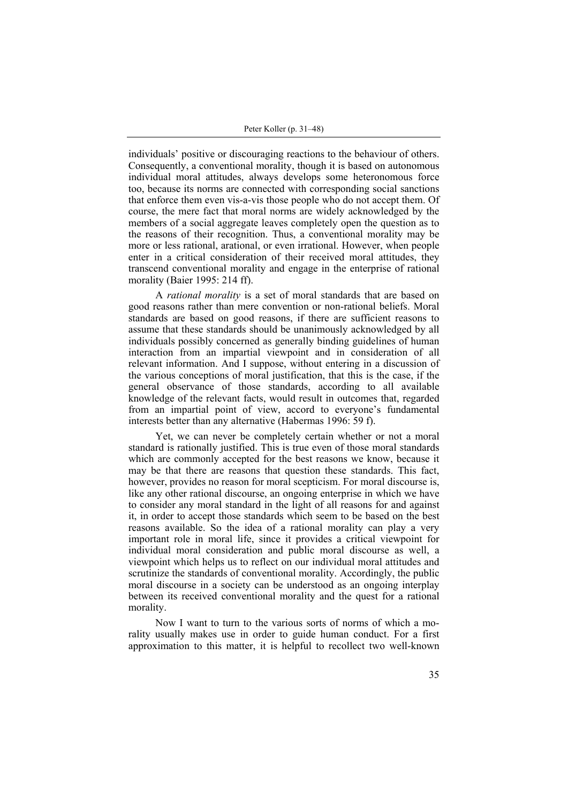individuals' positive or discouraging reactions to the behaviour of others. Consequently, a conventional morality, though it is based on autonomous individual moral attitudes, always develops some heteronomous force too, because its norms are connected with corresponding social sanctions that enforce them even vis-a-vis those people who do not accept them. Of course, the mere fact that moral norms are widely acknowledged by the members of a social aggregate leaves completely open the question as to the reasons of their recognition. Thus, a conventional morality may be more or less rational, arational, or even irrational. However, when people enter in a critical consideration of their received moral attitudes, they transcend conventional morality and engage in the enterprise of rational morality (Baier 1995: 214 ff).

A *rational morality* is a set of moral standards that are based on good reasons rather than mere convention or non-rational beliefs. Moral standards are based on good reasons, if there are sufficient reasons to assume that these standards should be unanimously acknowledged by all individuals possibly concerned as generally binding guidelines of human interaction from an impartial viewpoint and in consideration of all relevant information. And I suppose, without entering in a discussion of the various conceptions of moral justification, that this is the case, if the general observance of those standards, according to all available knowledge of the relevant facts, would result in outcomes that, regarded from an impartial point of view, accord to everyone's fundamental interests better than any alternative (Habermas 1996: 59 f).

Yet, we can never be completely certain whether or not a moral standard is rationally justified. This is true even of those moral standards which are commonly accepted for the best reasons we know, because it may be that there are reasons that question these standards. This fact, however, provides no reason for moral scepticism. For moral discourse is, like any other rational discourse, an ongoing enterprise in which we have to consider any moral standard in the light of all reasons for and against it, in order to accept those standards which seem to be based on the best reasons available. So the idea of a rational morality can play a very important role in moral life, since it provides a critical viewpoint for individual moral consideration and public moral discourse as well, a viewpoint which helps us to reflect on our individual moral attitudes and scrutinize the standards of conventional morality. Accordingly, the public moral discourse in a society can be understood as an ongoing interplay between its received conventional morality and the quest for a rational morality.

Now I want to turn to the various sorts of norms of which a morality usually makes use in order to guide human conduct. For a first approximation to this matter, it is helpful to recollect two well-known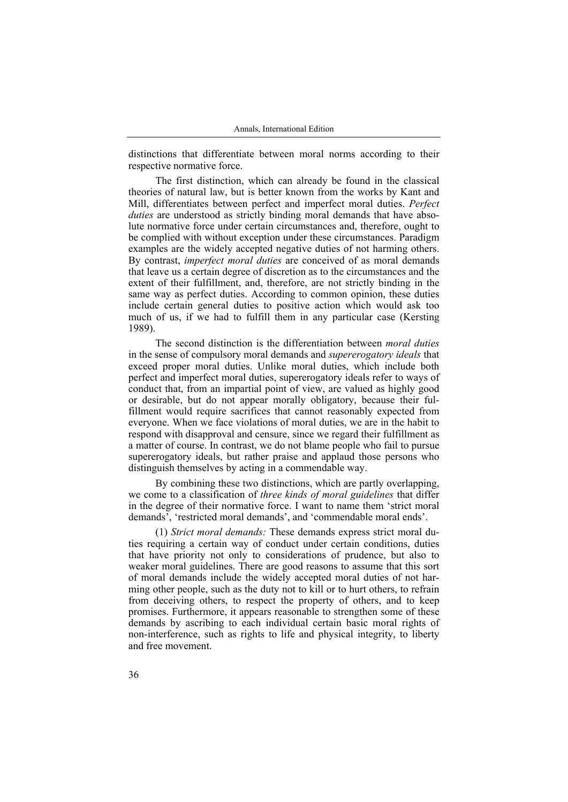distinctions that differentiate between moral norms according to their respective normative force.

The first distinction, which can already be found in the classical theories of natural law, but is better known from the works by Kant and Mill, differentiates between perfect and imperfect moral duties. *Perfect duties* are understood as strictly binding moral demands that have absolute normative force under certain circumstances and, therefore, ought to be complied with without exception under these circumstances. Paradigm examples are the widely accepted negative duties of not harming others. By contrast, *imperfect moral duties* are conceived of as moral demands that leave us a certain degree of discretion as to the circumstances and the extent of their fulfillment, and, therefore, are not strictly binding in the same way as perfect duties. According to common opinion, these duties include certain general duties to positive action which would ask too much of us, if we had to fulfill them in any particular case (Kersting 1989).

The second distinction is the differentiation between *moral duties* in the sense of compulsory moral demands and *supererogatory ideals* that exceed proper moral duties. Unlike moral duties, which include both perfect and imperfect moral duties, supererogatory ideals refer to ways of conduct that, from an impartial point of view, are valued as highly good or desirable, but do not appear morally obligatory, because their fulfillment would require sacrifices that cannot reasonably expected from everyone. When we face violations of moral duties, we are in the habit to respond with disapproval and censure, since we regard their fulfillment as a matter of course. In contrast, we do not blame people who fail to pursue supererogatory ideals, but rather praise and applaud those persons who distinguish themselves by acting in a commendable way.

By combining these two distinctions, which are partly overlapping, we come to a classification of *three kinds of moral guidelines* that differ in the degree of their normative force. I want to name them 'strict moral demands', 'restricted moral demands', and 'commendable moral ends'.

(1) *Strict moral demands:* These demands express strict moral duties requiring a certain way of conduct under certain conditions, duties that have priority not only to considerations of prudence, but also to weaker moral guidelines. There are good reasons to assume that this sort of moral demands include the widely accepted moral duties of not harming other people, such as the duty not to kill or to hurt others, to refrain from deceiving others, to respect the property of others, and to keep promises. Furthermore, it appears reasonable to strengthen some of these demands by ascribing to each individual certain basic moral rights of non-interference, such as rights to life and physical integrity, to liberty and free movement.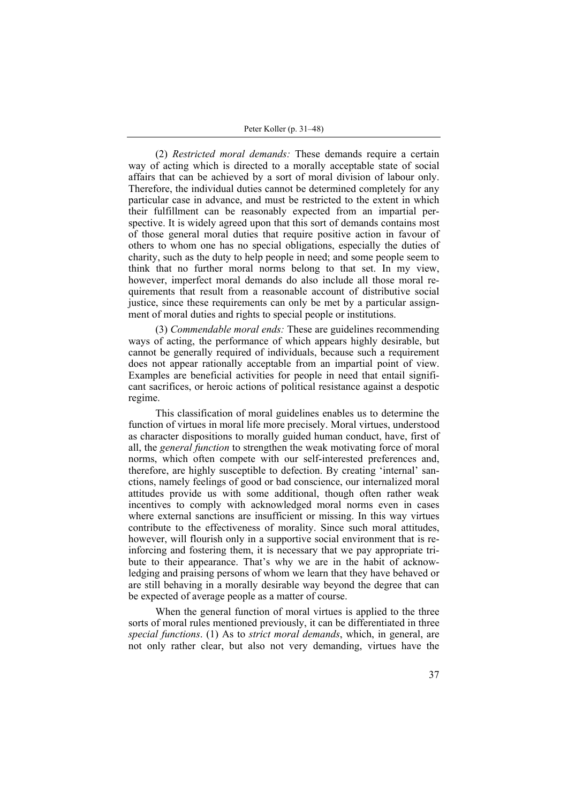(2) *Restricted moral demands:* These demands require a certain way of acting which is directed to a morally acceptable state of social affairs that can be achieved by a sort of moral division of labour only. Therefore, the individual duties cannot be determined completely for any particular case in advance, and must be restricted to the extent in which their fulfillment can be reasonably expected from an impartial perspective. It is widely agreed upon that this sort of demands contains most of those general moral duties that require positive action in favour of others to whom one has no special obligations, especially the duties of charity, such as the duty to help people in need; and some people seem to think that no further moral norms belong to that set. In my view, however, imperfect moral demands do also include all those moral requirements that result from a reasonable account of distributive social justice, since these requirements can only be met by a particular assignment of moral duties and rights to special people or institutions.

(3) *Commendable moral ends:* These are guidelines recommending ways of acting, the performance of which appears highly desirable, but cannot be generally required of individuals, because such a requirement does not appear rationally acceptable from an impartial point of view. Examples are beneficial activities for people in need that entail significant sacrifices, or heroic actions of political resistance against a despotic regime.

This classification of moral guidelines enables us to determine the function of virtues in moral life more precisely. Moral virtues, understood as character dispositions to morally guided human conduct, have, first of all, the *general function* to strengthen the weak motivating force of moral norms, which often compete with our self-interested preferences and, therefore, are highly susceptible to defection. By creating 'internal' sanctions, namely feelings of good or bad conscience, our internalized moral attitudes provide us with some additional, though often rather weak incentives to comply with acknowledged moral norms even in cases where external sanctions are insufficient or missing. In this way virtues contribute to the effectiveness of morality. Since such moral attitudes, however, will flourish only in a supportive social environment that is reinforcing and fostering them, it is necessary that we pay appropriate tribute to their appearance. That's why we are in the habit of acknowledging and praising persons of whom we learn that they have behaved or are still behaving in a morally desirable way beyond the degree that can be expected of average people as a matter of course.

When the general function of moral virtues is applied to the three sorts of moral rules mentioned previously, it can be differentiated in three *special functions*. (1) As to *strict moral demands*, which, in general, are not only rather clear, but also not very demanding, virtues have the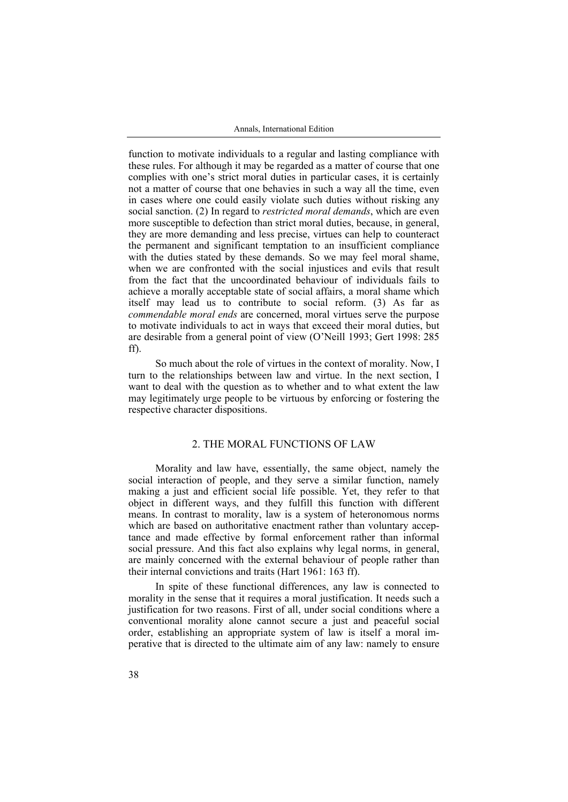function to motivate individuals to a regular and lasting compliance with these rules. For although it may be regarded as a matter of course that one complies with one's strict moral duties in particular cases, it is certainly not a matter of course that one behavies in such a way all the time, even in cases where one could easily violate such duties without risking any social sanction. (2) In regard to *restricted moral demands*, which are even more susceptible to defection than strict moral duties, because, in general, they are more demanding and less precise, virtues can help to counteract the permanent and significant temptation to an insufficient compliance with the duties stated by these demands. So we may feel moral shame, when we are confronted with the social injustices and evils that result from the fact that the uncoordinated behaviour of individuals fails to achieve a morally acceptable state of social affairs, a moral shame which itself may lead us to contribute to social reform. (3) As far as *commendable moral ends* are concerned, moral virtues serve the purpose to motivate individuals to act in ways that exceed their moral duties, but are desirable from a general point of view (O'Neill 1993; Gert 1998: 285 ff).

So much about the role of virtues in the context of morality. Now, I turn to the relationships between law and virtue. In the next section, I want to deal with the question as to whether and to what extent the law may legitimately urge people to be virtuous by enforcing or fostering the respective character dispositions.

## 2. THE MORAL FUNCTIONS OF LAW

Morality and law have, essentially, the same object, namely the social interaction of people, and they serve a similar function, namely making a just and efficient social life possible. Yet, they refer to that object in different ways, and they fulfill this function with different means. In contrast to morality, law is a system of heteronomous norms which are based on authoritative enactment rather than voluntary acceptance and made effective by formal enforcement rather than informal social pressure. And this fact also explains why legal norms, in general, are mainly concerned with the external behaviour of people rather than their internal convictions and traits (Hart 1961: 163 ff).

In spite of these functional differences, any law is connected to morality in the sense that it requires a moral justification. It needs such a justification for two reasons. First of all, under social conditions where a conventional morality alone cannot secure a just and peaceful social order, establishing an appropriate system of law is itself a moral imperative that is directed to the ultimate aim of any law: namely to ensure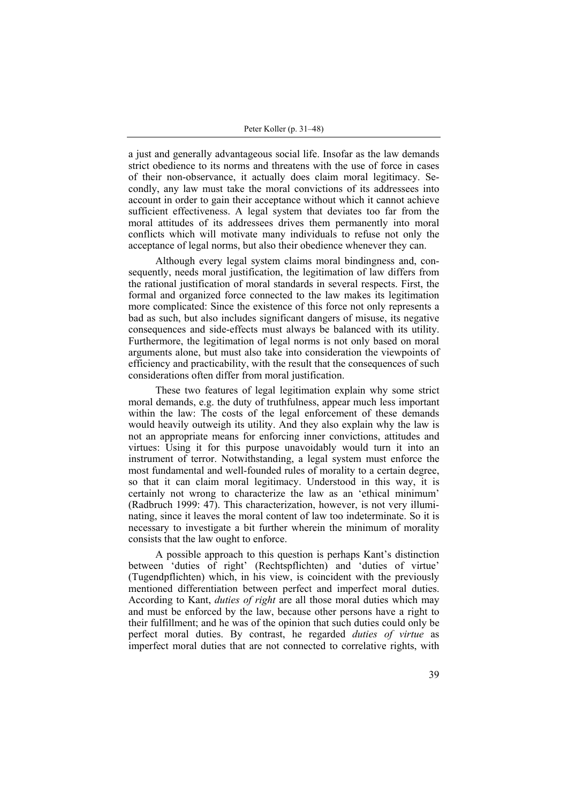a just and generally advantageous social life. Insofar as the law demands strict obedience to its norms and threatens with the use of force in cases of their non-observance, it actually does claim moral legitimacy. Secondly, any law must take the moral convictions of its addressees into account in order to gain their acceptance without which it cannot achieve sufficient effectiveness. A legal system that deviates too far from the moral attitudes of its addressees drives them permanently into moral conflicts which will motivate many individuals to refuse not only the acceptance of legal norms, but also their obedience whenever they can.

Although every legal system claims moral bindingness and, consequently, needs moral justification, the legitimation of law differs from the rational justification of moral standards in several respects. First, the formal and organized force connected to the law makes its legitimation more complicated: Since the existence of this force not only represents a bad as such, but also includes significant dangers of misuse, its negative consequences and side-effects must always be balanced with its utility. Furthermore, the legitimation of legal norms is not only based on moral arguments alone, but must also take into consideration the viewpoints of efficiency and practicability, with the result that the consequences of such considerations often differ from moral justification.

These two features of legal legitimation explain why some strict moral demands, e.g. the duty of truthfulness, appear much less important within the law: The costs of the legal enforcement of these demands would heavily outweigh its utility. And they also explain why the law is not an appropriate means for enforcing inner convictions, attitudes and virtues: Using it for this purpose unavoidably would turn it into an instrument of terror. Notwithstanding, a legal system must enforce the most fundamental and well-founded rules of morality to a certain degree, so that it can claim moral legitimacy. Understood in this way, it is certainly not wrong to characterize the law as an 'ethical minimum' (Radbruch 1999: 47). This characterization, however, is not very illuminating, since it leaves the moral content of law too indeterminate. So it is necessary to investigate a bit further wherein the minimum of morality consists that the law ought to enforce.

A possible approach to this question is perhaps Kant's distinction between 'duties of right' (Rechtspflichten) and 'duties of virtue' (Tugendpflichten) which, in his view, is coincident with the previously mentioned differentiation between perfect and imperfect moral duties. According to Kant, *duties of right* are all those moral duties which may and must be enforced by the law, because other persons have a right to their fulfillment; and he was of the opinion that such duties could only be perfect moral duties. By contrast, he regarded *duties of virtue* as imperfect moral duties that are not connected to correlative rights, with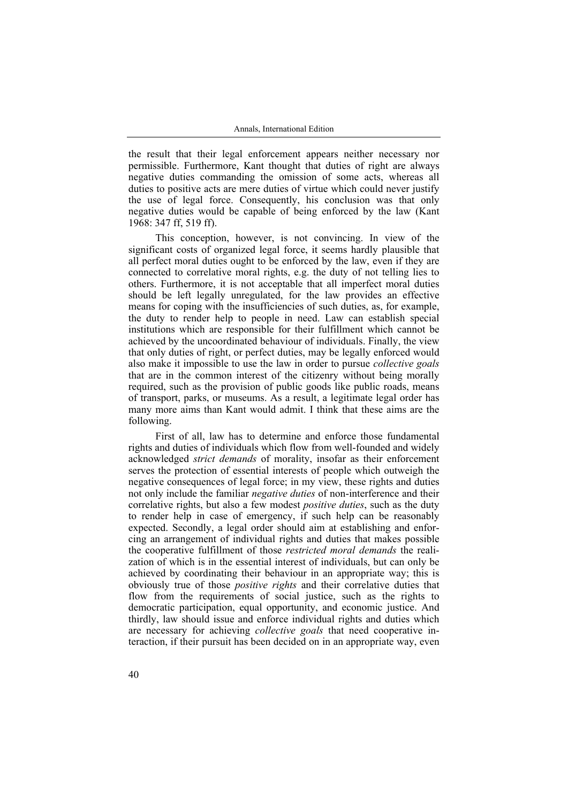the result that their legal enforcement appears neither necessary nor permissible. Furthermore, Kant thought that duties of right are always negative duties commanding the omission of some acts, whereas all duties to positive acts are mere duties of virtue which could never justify the use of legal force. Consequently, his conclusion was that only negative duties would be capable of being enforced by the law (Kant 1968: 347 ff, 519 ff).

This conception, however, is not convincing. In view of the significant costs of organized legal force, it seems hardly plausible that all perfect moral duties ought to be enforced by the law, even if they are connected to correlative moral rights, e.g. the duty of not telling lies to others. Furthermore, it is not acceptable that all imperfect moral duties should be left legally unregulated, for the law provides an effective means for coping with the insufficiencies of such duties, as, for example, the duty to render help to people in need. Law can establish special institutions which are responsible for their fulfillment which cannot be achieved by the uncoordinated behaviour of individuals. Finally, the view that only duties of right, or perfect duties, may be legally enforced would also make it impossible to use the law in order to pursue *collective goals*  that are in the common interest of the citizenry without being morally required, such as the provision of public goods like public roads, means of transport, parks, or museums. As a result, a legitimate legal order has many more aims than Kant would admit. I think that these aims are the following.

First of all, law has to determine and enforce those fundamental rights and duties of individuals which flow from well-founded and widely acknowledged *strict demands* of morality, insofar as their enforcement serves the protection of essential interests of people which outweigh the negative consequences of legal force; in my view, these rights and duties not only include the familiar *negative duties* of non-interference and their correlative rights, but also a few modest *positive duties*, such as the duty to render help in case of emergency, if such help can be reasonably expected. Secondly, a legal order should aim at establishing and enforcing an arrangement of individual rights and duties that makes possible the cooperative fulfillment of those *restricted moral demands* the realization of which is in the essential interest of individuals, but can only be achieved by coordinating their behaviour in an appropriate way; this is obviously true of those *positive rights* and their correlative duties that flow from the requirements of social justice, such as the rights to democratic participation, equal opportunity, and economic justice. And thirdly, law should issue and enforce individual rights and duties which are necessary for achieving *collective goals* that need cooperative interaction, if their pursuit has been decided on in an appropriate way, even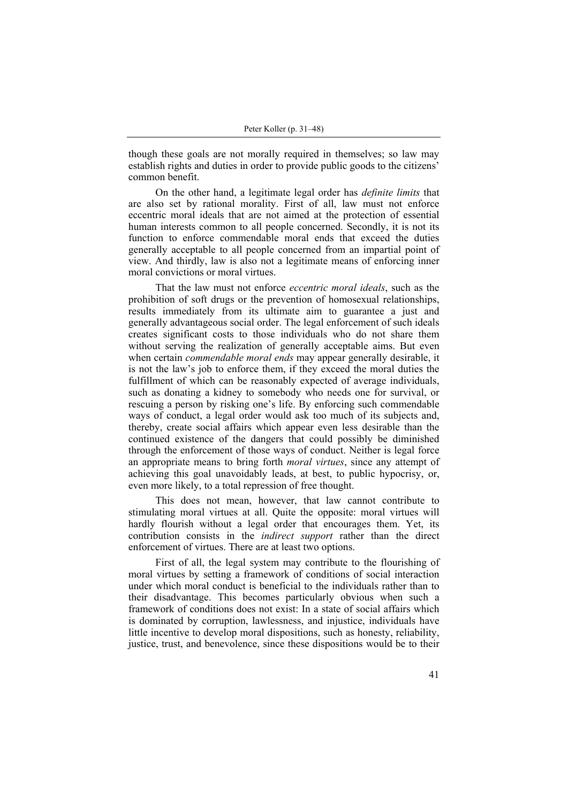though these goals are not morally required in themselves; so law may establish rights and duties in order to provide public goods to the citizens' common benefit.

On the other hand, a legitimate legal order has *definite limits* that are also set by rational morality. First of all, law must not enforce eccentric moral ideals that are not aimed at the protection of essential human interests common to all people concerned. Secondly, it is not its function to enforce commendable moral ends that exceed the duties generally acceptable to all people concerned from an impartial point of view. And thirdly, law is also not a legitimate means of enforcing inner moral convictions or moral virtues.

That the law must not enforce *eccentric moral ideals*, such as the prohibition of soft drugs or the prevention of homosexual relationships, results immediately from its ultimate aim to guarantee a just and generally advantageous social order. The legal enforcement of such ideals creates significant costs to those individuals who do not share them without serving the realization of generally acceptable aims. But even when certain *commendable moral ends* may appear generally desirable, it is not the law's job to enforce them, if they exceed the moral duties the fulfillment of which can be reasonably expected of average individuals, such as donating a kidney to somebody who needs one for survival, or rescuing a person by risking one's life. By enforcing such commendable ways of conduct, a legal order would ask too much of its subjects and, thereby, create social affairs which appear even less desirable than the continued existence of the dangers that could possibly be diminished through the enforcement of those ways of conduct. Neither is legal force an appropriate means to bring forth *moral virtues*, since any attempt of achieving this goal unavoidably leads, at best, to public hypocrisy, or, even more likely, to a total repression of free thought.

This does not mean, however, that law cannot contribute to stimulating moral virtues at all. Quite the opposite: moral virtues will hardly flourish without a legal order that encourages them. Yet, its contribution consists in the *indirect support* rather than the direct enforcement of virtues. There are at least two options.

First of all, the legal system may contribute to the flourishing of moral virtues by setting a framework of conditions of social interaction under which moral conduct is beneficial to the individuals rather than to their disadvantage. This becomes particularly obvious when such a framework of conditions does not exist: In a state of social affairs which is dominated by corruption, lawlessness, and injustice, individuals have little incentive to develop moral dispositions, such as honesty, reliability, justice, trust, and benevolence, since these dispositions would be to their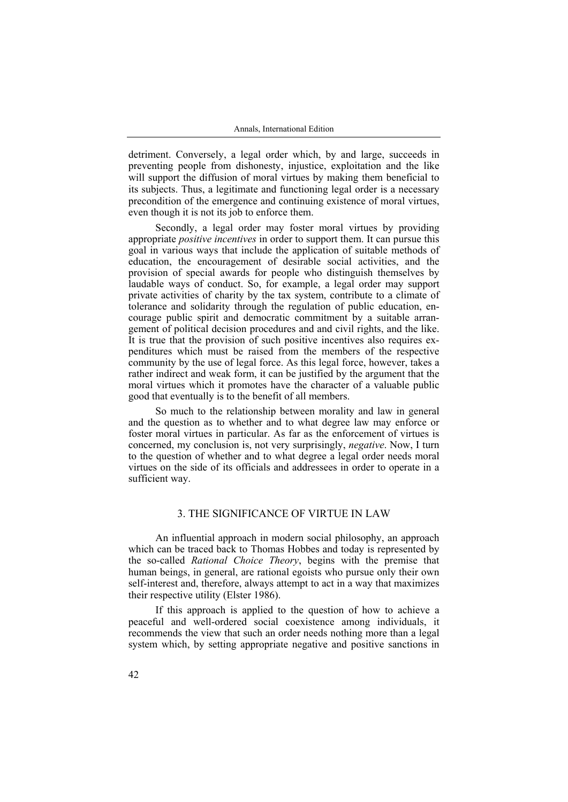detriment. Conversely, a legal order which, by and large, succeeds in preventing people from dishonesty, injustice, exploitation and the like will support the diffusion of moral virtues by making them beneficial to its subjects. Thus, a legitimate and functioning legal order is a necessary precondition of the emergence and continuing existence of moral virtues, even though it is not its job to enforce them.

Secondly, a legal order may foster moral virtues by providing appropriate *positive incentives* in order to support them. It can pursue this goal in various ways that include the application of suitable methods of education, the encouragement of desirable social activities, and the provision of special awards for people who distinguish themselves by laudable ways of conduct. So, for example, a legal order may support private activities of charity by the tax system, contribute to a climate of tolerance and solidarity through the regulation of public education, encourage public spirit and democratic commitment by a suitable arrangement of political decision procedures and and civil rights, and the like. It is true that the provision of such positive incentives also requires expenditures which must be raised from the members of the respective community by the use of legal force. As this legal force, however, takes a rather indirect and weak form, it can be justified by the argument that the moral virtues which it promotes have the character of a valuable public good that eventually is to the benefit of all members.

So much to the relationship between morality and law in general and the question as to whether and to what degree law may enforce or foster moral virtues in particular. As far as the enforcement of virtues is concerned, my conclusion is, not very surprisingly, *negative*. Now, I turn to the question of whether and to what degree a legal order needs moral virtues on the side of its officials and addressees in order to operate in a sufficient way.

# 3. THE SIGNIFICANCE OF VIRTUE IN LAW

An influential approach in modern social philosophy, an approach which can be traced back to Thomas Hobbes and today is represented by the so-called *Rational Choice Theory*, begins with the premise that human beings, in general, are rational egoists who pursue only their own self-interest and, therefore, always attempt to act in a way that maximizes their respective utility (Elster 1986).

If this approach is applied to the question of how to achieve a peaceful and well-ordered social coexistence among individuals, it recommends the view that such an order needs nothing more than a legal system which, by setting appropriate negative and positive sanctions in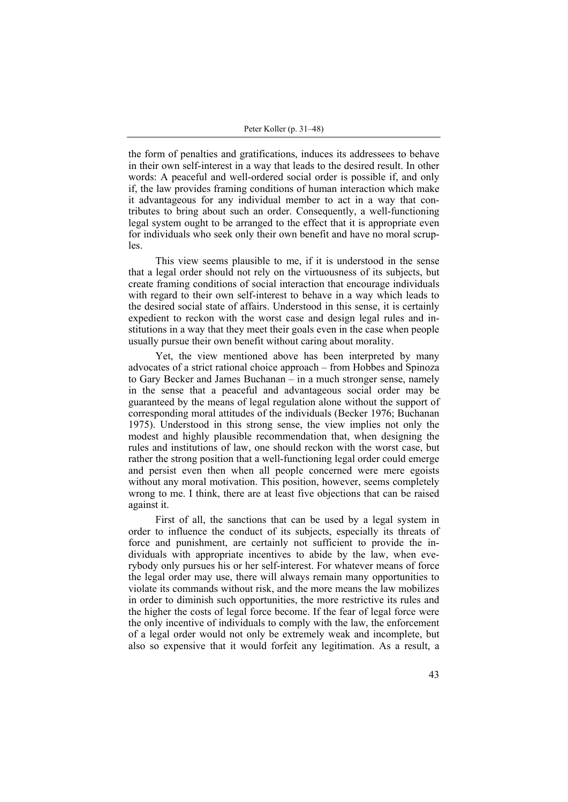the form of penalties and gratifications, induces its addressees to behave in their own self-interest in a way that leads to the desired result. In other words: A peaceful and well-ordered social order is possible if, and only if, the law provides framing conditions of human interaction which make it advantageous for any individual member to act in a way that contributes to bring about such an order. Consequently, a well-functioning legal system ought to be arranged to the effect that it is appropriate even for individuals who seek only their own benefit and have no moral scruples.

This view seems plausible to me, if it is understood in the sense that a legal order should not rely on the virtuousness of its subjects, but create framing conditions of social interaction that encourage individuals with regard to their own self-interest to behave in a way which leads to the desired social state of affairs. Understood in this sense, it is certainly expedient to reckon with the worst case and design legal rules and institutions in a way that they meet their goals even in the case when people usually pursue their own benefit without caring about morality.

Yet, the view mentioned above has been interpreted by many advocates of a strict rational choice approach – from Hobbes and Spinoza to Gary Becker and James Buchanan – in a much stronger sense, namely in the sense that a peaceful and advantageous social order may be guaranteed by the means of legal regulation alone without the support of corresponding moral attitudes of the individuals (Becker 1976; Buchanan 1975). Understood in this strong sense, the view implies not only the modest and highly plausible recommendation that, when designing the rules and institutions of law, one should reckon with the worst case, but rather the strong position that a well-functioning legal order could emerge and persist even then when all people concerned were mere egoists without any moral motivation. This position, however, seems completely wrong to me. I think, there are at least five objections that can be raised against it.

First of all, the sanctions that can be used by a legal system in order to influence the conduct of its subjects, especially its threats of force and punishment, are certainly not sufficient to provide the individuals with appropriate incentives to abide by the law, when everybody only pursues his or her self-interest. For whatever means of force the legal order may use, there will always remain many opportunities to violate its commands without risk, and the more means the law mobilizes in order to diminish such opportunities, the more restrictive its rules and the higher the costs of legal force become. If the fear of legal force were the only incentive of individuals to comply with the law, the enforcement of a legal order would not only be extremely weak and incomplete, but also so expensive that it would forfeit any legitimation. As a result, a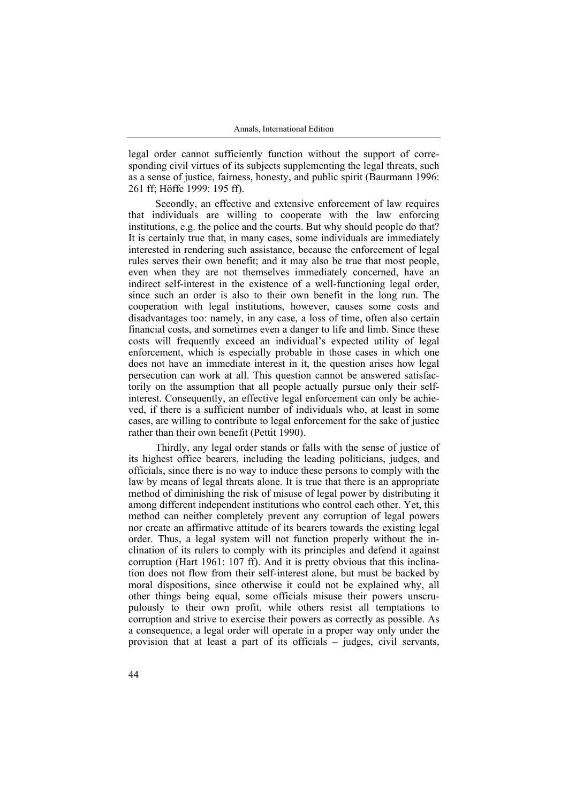legal order cannot sufficiently function without the support of corresponding civil virtues of its subjects supplementing the legal threats, such as a sense of justice, fairness, honesty, and public spirit (Baurmann 1996: 261 ff; Höffe 1999: 195 ff).

Secondly, an effective and extensive enforcement of law requires that individuals are willing to cooperate with the law enforcing institutions, e.g. the police and the courts. But why should people do that? It is certainly true that, in many cases, some individuals are immediately interested in rendering such assistance, because the enforcement of legal rules serves their own benefit; and it may also be true that most people, even when they are not themselves immediately concerned, have an indirect self-interest in the existence of a well-functioning legal order, since such an order is also to their own benefit in the long run. The cooperation with legal institutions, however, causes some costs and disadvantages too: namely, in any case, a loss of time, often also certain financial costs, and sometimes even a danger to life and limb. Since these costs will frequently exceed an individual's expected utility of legal enforcement, which is especially probable in those cases in which one does not have an immediate interest in it, the question arises how legal persecution can work at all. This question cannot be answered satisfactorily on the assumption that all people actually pursue only their selfinterest. Consequently, an effective legal enforcement can only be achieved, if there is a sufficient number of individuals who, at least in some cases, are willing to contribute to legal enforcement for the sake of justice rather than their own benefit (Pettit 1990).

Thirdly, any legal order stands or falls with the sense of justice of its highest office bearers, including the leading politicians, judges, and officials, since there is no way to induce these persons to comply with the law by means of legal threats alone. It is true that there is an appropriate method of diminishing the risk of misuse of legal power by distributing it among different independent institutions who control each other. Yet, this method can neither completely prevent any corruption of legal powers nor create an affirmative attitude of its bearers towards the existing legal order. Thus, a legal system will not function properly without the inclination of its rulers to comply with its principles and defend it against corruption (Hart 1961: 107 ff). And it is pretty obvious that this inclination does not flow from their self-interest alone, but must be backed by moral dispositions, since otherwise it could not be explained why, all other things being equal, some officials misuse their powers unscrupulously to their own profit, while others resist all temptations to corruption and strive to exercise their powers as correctly as possible. As a consequence, a legal order will operate in a proper way only under the provision that at least a part of its officials – judges, civil servants,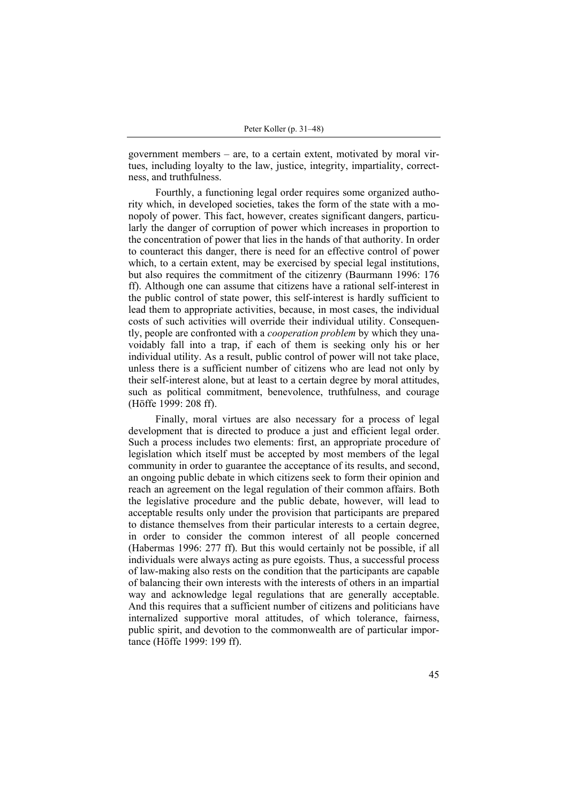government members – are, to a certain extent, motivated by moral virtues, including loyalty to the law, justice, integrity, impartiality, correctness, and truthfulness.

Fourthly, a functioning legal order requires some organized authority which, in developed societies, takes the form of the state with a monopoly of power. This fact, however, creates significant dangers, particularly the danger of corruption of power which increases in proportion to the concentration of power that lies in the hands of that authority. In order to counteract this danger, there is need for an effective control of power which, to a certain extent, may be exercised by special legal institutions, but also requires the commitment of the citizenry (Baurmann 1996: 176 ff). Although one can assume that citizens have a rational self-interest in the public control of state power, this self-interest is hardly sufficient to lead them to appropriate activities, because, in most cases, the individual costs of such activities will override their individual utility. Consequently, people are confronted with a *cooperation problem* by which they unavoidably fall into a trap, if each of them is seeking only his or her individual utility. As a result, public control of power will not take place, unless there is a sufficient number of citizens who are lead not only by their self-interest alone, but at least to a certain degree by moral attitudes, such as political commitment, benevolence, truthfulness, and courage (Höffe 1999: 208 ff).

Finally, moral virtues are also necessary for a process of legal development that is directed to produce a just and efficient legal order. Such a process includes two elements: first, an appropriate procedure of legislation which itself must be accepted by most members of the legal community in order to guarantee the acceptance of its results, and second, an ongoing public debate in which citizens seek to form their opinion and reach an agreement on the legal regulation of their common affairs. Both the legislative procedure and the public debate, however, will lead to acceptable results only under the provision that participants are prepared to distance themselves from their particular interests to a certain degree, in order to consider the common interest of all people concerned (Habermas 1996: 277 ff). But this would certainly not be possible, if all individuals were always acting as pure egoists. Thus, a successful process of law-making also rests on the condition that the participants are capable of balancing their own interests with the interests of others in an impartial way and acknowledge legal regulations that are generally acceptable. And this requires that a sufficient number of citizens and politicians have internalized supportive moral attitudes, of which tolerance, fairness, public spirit, and devotion to the commonwealth are of particular importance (Höffe 1999: 199 ff).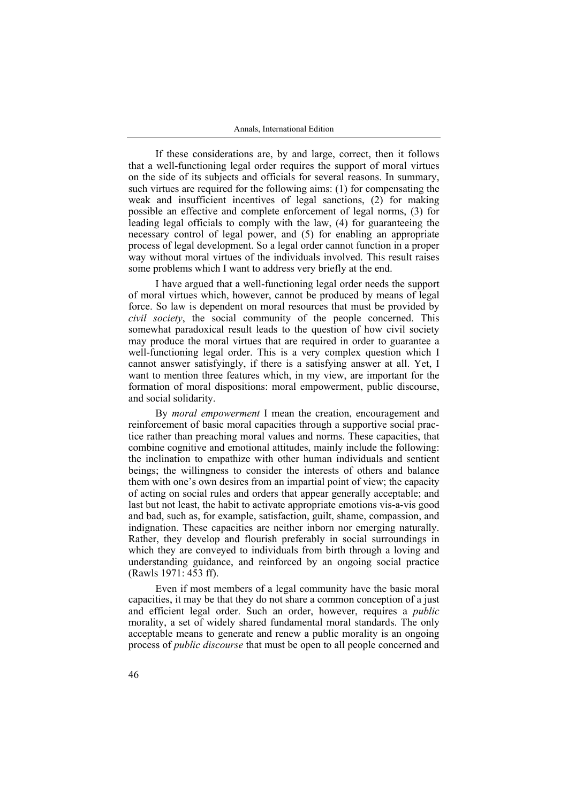If these considerations are, by and large, correct, then it follows that a well-functioning legal order requires the support of moral virtues on the side of its subjects and officials for several reasons. In summary, such virtues are required for the following aims: (1) for compensating the weak and insufficient incentives of legal sanctions, (2) for making possible an effective and complete enforcement of legal norms, (3) for leading legal officials to comply with the law, (4) for guaranteeing the necessary control of legal power, and (5) for enabling an appropriate process of legal development. So a legal order cannot function in a proper way without moral virtues of the individuals involved. This result raises some problems which I want to address very briefly at the end.

I have argued that a well-functioning legal order needs the support of moral virtues which, however, cannot be produced by means of legal force. So law is dependent on moral resources that must be provided by *civil society*, the social community of the people concerned. This somewhat paradoxical result leads to the question of how civil society may produce the moral virtues that are required in order to guarantee a well-functioning legal order. This is a very complex question which I cannot answer satisfyingly, if there is a satisfying answer at all. Yet, I want to mention three features which, in my view, are important for the formation of moral dispositions: moral empowerment, public discourse, and social solidarity.

By *moral empowerment* I mean the creation, encouragement and reinforcement of basic moral capacities through a supportive social practice rather than preaching moral values and norms. These capacities, that combine cognitive and emotional attitudes, mainly include the following: the inclination to empathize with other human individuals and sentient beings; the willingness to consider the interests of others and balance them with one's own desires from an impartial point of view; the capacity of acting on social rules and orders that appear generally acceptable; and last but not least, the habit to activate appropriate emotions vis-a-vis good and bad, such as, for example, satisfaction, guilt, shame, compassion, and indignation. These capacities are neither inborn nor emerging naturally. Rather, they develop and flourish preferably in social surroundings in which they are conveyed to individuals from birth through a loving and understanding guidance, and reinforced by an ongoing social practice (Rawls 1971: 453 ff).

Even if most members of a legal community have the basic moral capacities, it may be that they do not share a common conception of a just and efficient legal order. Such an order, however, requires a *public* morality, a set of widely shared fundamental moral standards. The only acceptable means to generate and renew a public morality is an ongoing process of *public discourse* that must be open to all people concerned and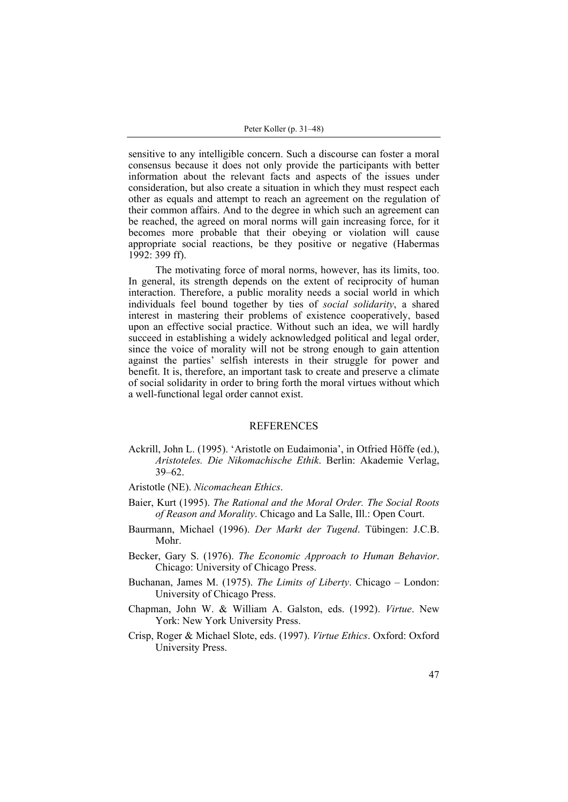sensitive to any intelligible concern. Such a discourse can foster a moral consensus because it does not only provide the participants with better information about the relevant facts and aspects of the issues under consideration, but also create a situation in which they must respect each other as equals and attempt to reach an agreement on the regulation of their common affairs. And to the degree in which such an agreement can be reached, the agreed on moral norms will gain increasing force, for it becomes more probable that their obeying or violation will cause appropriate social reactions, be they positive or negative (Habermas  $1992:399$  ff).

The motivating force of moral norms, however, has its limits, too. In general, its strength depends on the extent of reciprocity of human interaction. Therefore, a public morality needs a social world in which individuals feel bound together by ties of *social solidarity*, a shared interest in mastering their problems of existence cooperatively, based upon an effective social practice. Without such an idea, we will hardly succeed in establishing a widely acknowledged political and legal order, since the voice of morality will not be strong enough to gain attention against the parties' selfish interests in their struggle for power and benefit. It is, therefore, an important task to create and preserve a climate of social solidarity in order to bring forth the moral virtues without which a well-functional legal order cannot exist.

#### **REFERENCES**

- Ackrill, John L. (1995). 'Aristotle on Eudaimonia', in Otfried Höffe (ed.), *Aristoteles. Die Nikomachische Ethik*. Berlin: Akademie Verlag, 39–62.
- Aristotle (NE). *Nicomachean Ethics*.
- Baier, Kurt (1995). *The Rational and the Moral Order. The Social Roots of Reason and Morality*. Chicago and La Salle, Ill.: Open Court.
- Baurmann, Michael (1996). *Der Markt der Tugend*. Tübingen: J.C.B. Mohr.
- Becker, Gary S. (1976). *The Economic Approach to Human Behavior*. Chicago: University of Chicago Press.
- Buchanan, James M. (1975). *The Limits of Liberty*. Chicago London: University of Chicago Press.
- Chapman, John W. & William A. Galston, eds. (1992). *Virtue*. New York: New York University Press.
- Crisp, Roger & Michael Slote, eds. (1997). *Virtue Ethics*. Oxford: Oxford University Press.